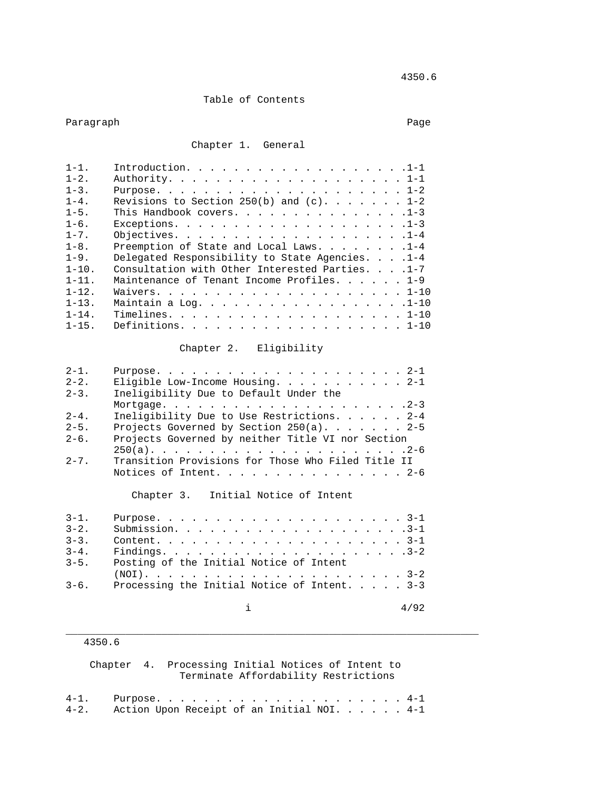## Table of Contents

# Paragraph Page 2014 and 2014 and 2014 and 2014 and 2014 and 2014 and 2014 and 2014 and 2014 and 2014 and 2014

### Chapter 1. General

| $1 - 1$ .  | Introduction. 1-1                               |
|------------|-------------------------------------------------|
| $1 - 2$ .  |                                                 |
| $1 - 3$ .  |                                                 |
| $1 - 4$ .  | Revisions to Section 250(b) and $(c)$ 1-2       |
| $1 - 5$ .  | This Handbook covers. 1-3                       |
| $1 - 6$ .  |                                                 |
| $1 - 7$ .  |                                                 |
| $1 - 8$ .  | Preemption of State and Local Laws. 1-4         |
| $1 - 9$ .  | Delegated Responsibility to State Agencies. 1-4 |
| $1 - 10$ . | Consultation with Other Interested Parties. 1-7 |
| $1 - 11$ . | Maintenance of Tenant Income Profiles. 1-9      |
| $1 - 12$ . |                                                 |
| $1 - 13$ . | Maintain a Log. 1-10                            |
| $1 - 14$ . |                                                 |
| $1 - 15$ . | Definitions. 1-10                               |

## Chapter 2. Eligibility

| Eligible Low-Income Housing. 2-1                   |
|----------------------------------------------------|
| Ineligibility Due to Default Under the             |
|                                                    |
| Ineligibility Due to Use Restrictions. 2-4         |
| Projects Governed by Section 250(a). 2-5           |
| Projects Governed by neither Title VI nor Section  |
|                                                    |
| Transition Provisions for Those Who Filed Title II |
| Notices of Intent. 2-6                             |
|                                                    |

#### Chapter 3. Initial Notice of Intent

| $3 - 1$ . |                                                        |
|-----------|--------------------------------------------------------|
| $3 - 2$ . |                                                        |
| $3 - 3$ . |                                                        |
| $3 - 4$ . |                                                        |
| $3 - 5$ . | Posting of the Initial Notice of Intent                |
|           |                                                        |
|           | $3-6$ . Processing the Initial Notice of Intent. $3-3$ |
|           |                                                        |

\_\_\_\_\_\_\_\_\_\_\_\_\_\_\_\_\_\_\_\_\_\_\_\_\_\_\_\_\_\_\_\_\_\_\_\_\_\_\_\_\_\_\_\_\_\_\_\_\_\_\_\_\_\_\_\_\_\_\_\_\_\_\_\_\_\_\_\_\_

## 4350.6

 Chapter 4. Processing Initial Notices of Intent to Terminate Affordability Restrictions

4-1. Purpose. . . . . . . . . . . . . . . . . . . . . 4-1 4-2. Action Upon Receipt of an Initial NOI. . . . . . 4-1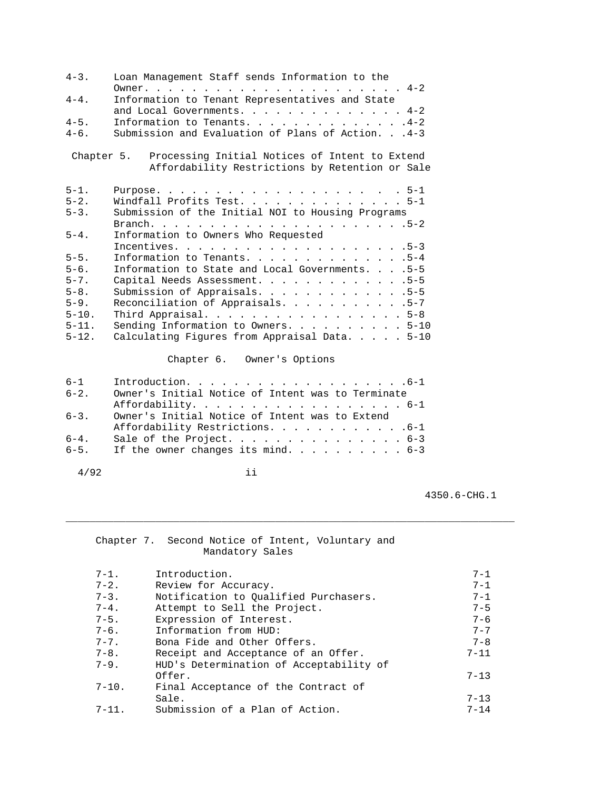| $4 - 3$ .  | Loan Management Staff sends Information to the                                                               |  |  |  |
|------------|--------------------------------------------------------------------------------------------------------------|--|--|--|
| $4 - 4$ .  | Information to Tenant Representatives and State                                                              |  |  |  |
| $4 - 5$ .  | and Local Governments. $4-2$<br>Information to Tenants. 4-2                                                  |  |  |  |
| $4-6$ .    | Submission and Evaluation of Plans of Action. 4-3                                                            |  |  |  |
|            | Chapter 5. Processing Initial Notices of Intent to Extend<br>Affordability Restrictions by Retention or Sale |  |  |  |
| $5 - 1$ .  |                                                                                                              |  |  |  |
| $5 - 2$ .  | Windfall Profits Test. 5-1                                                                                   |  |  |  |
| $5 - 3$ .  | Submission of the Initial NOI to Housing Programs                                                            |  |  |  |
|            |                                                                                                              |  |  |  |
| $5 - 4$ .  | Information to Owners Who Requested                                                                          |  |  |  |
|            |                                                                                                              |  |  |  |
| $5 - 5$ .  | Information to Tenants. 5-4                                                                                  |  |  |  |
| $5 - 6$ .  | Information to State and Local Governments. 5-5                                                              |  |  |  |
| $5 - 7$ .  | Capital Needs Assessment. 5-5                                                                                |  |  |  |
| $5 - 8$ .  | Submission of Appraisals. 5-5                                                                                |  |  |  |
| $5 - 9$ .  | Reconciliation of Appraisals. 5-7                                                                            |  |  |  |
| $5 - 10$ . | Third Appraisal. 5-8                                                                                         |  |  |  |
| $5 - 11.$  | Sending Information to Owners. 5-10                                                                          |  |  |  |
| $5 - 12$ . | Calculating Figures from Appraisal Data. $\ldots$ . 5-10                                                     |  |  |  |

# Chapter 6. Owner's Options

| $6 - 1$   | Introduction. 6-1                                 |
|-----------|---------------------------------------------------|
| $6 - 2$ . | Owner's Initial Notice of Intent was to Terminate |
|           | Affordability. 6-1                                |
| $6 - 3$ . | Owner's Initial Notice of Intent was to Extend    |
|           | Affordability Restrictions. 6-1                   |
| $6 - 4$ . | Sale of the Project. 6-3                          |
| $6 - 5$ . | If the owner changes its mind. 6-3                |

Chapter 7. Second Notice of Intent, Voluntary and

4/92 ii

4350.6-CHG.1

|            | Mandatory Sales                         |          |
|------------|-----------------------------------------|----------|
| $7 - 1$ .  | Introduction.                           | $7 - 1$  |
| $7 - 2$ .  | Review for Accuracy.                    | $7 - 1$  |
| $7 - 3$ .  | Notification to Oualified Purchasers.   | $7 - 1$  |
| $7 - 4$ .  | Attempt to Sell the Project.            | $7 - 5$  |
| $7 - 5$ .  | Expression of Interest.                 | $7 - 6$  |
| $7 - 6$ .  | Information from HUD:                   | $7 - 7$  |
| $7 - 7$ .  | Bona Fide and Other Offers.             | $7 - 8$  |
| $7 - 8$ .  | Receipt and Acceptance of an Offer.     | $7 - 11$ |
| $7 - 9$ .  | HUD's Determination of Acceptability of |          |
|            | Offer.                                  | $7 - 13$ |
| $7 - 10$ . | Final Acceptance of the Contract of     |          |
|            | Sale.                                   | $7 - 13$ |
| $7 - 11.$  | Submission of a Plan of Action.         | $7 - 14$ |

\_\_\_\_\_\_\_\_\_\_\_\_\_\_\_\_\_\_\_\_\_\_\_\_\_\_\_\_\_\_\_\_\_\_\_\_\_\_\_\_\_\_\_\_\_\_\_\_\_\_\_\_\_\_\_\_\_\_\_\_\_\_\_\_\_\_\_\_\_\_\_\_\_\_\_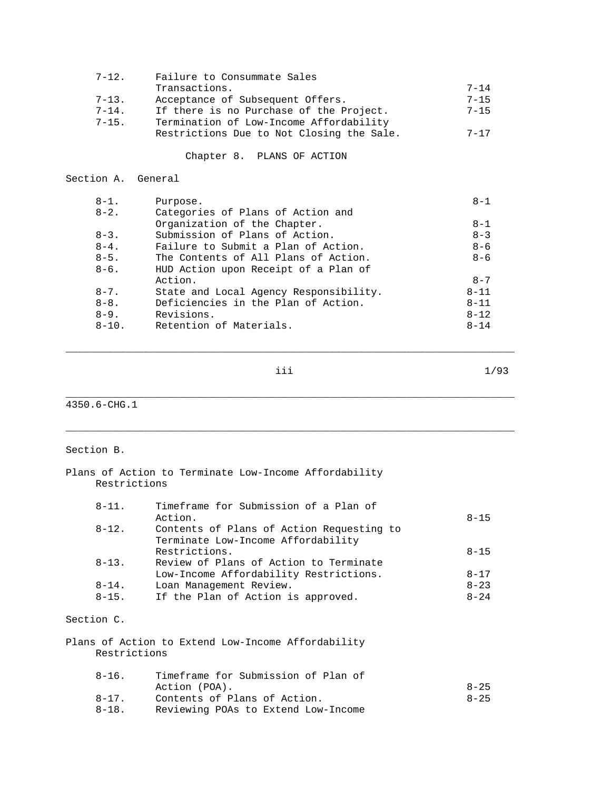| $7 - 12$ . | Failure to Consummate Sales               |          |
|------------|-------------------------------------------|----------|
|            | Transactions.                             | $7 - 14$ |
| $7 - 13$ . | Acceptance of Subsequent Offers.          | $7 - 15$ |
| $7 - 14$ . | If there is no Purchase of the Project.   | $7 - 15$ |
| $7 - 15$ . | Termination of Low-Income Affordability   |          |
|            | Restrictions Due to Not Closing the Sale. | $7 - 17$ |
|            |                                           |          |

Chapter 8. PLANS OF ACTION

| Section A. |  | General |
|------------|--|---------|
|------------|--|---------|

| $8 - 1$ .  | Purpose.                               | $8 - 1$  |
|------------|----------------------------------------|----------|
| $8 - 2$ .  | Categories of Plans of Action and      |          |
|            | Organization of the Chapter.           | $8 - 1$  |
| $8 - 3$ .  | Submission of Plans of Action.         | $8 - 3$  |
| $8 - 4$ .  | Failure to Submit a Plan of Action.    | $8 - 6$  |
| $8 - 5$ .  | The Contents of All Plans of Action.   | $8 - 6$  |
| $8-6$ .    | HUD Action upon Receipt of a Plan of   |          |
|            | Action.                                | $8 - 7$  |
| $8 - 7$ .  | State and Local Agency Responsibility. | $8 - 11$ |
| $8 - 8$ .  | Deficiencies in the Plan of Action.    | $8 - 11$ |
| $8 - 9$ .  | Revisions.                             | $8 - 12$ |
| $8 - 10$ . | Retention of Materials.                | $8 - 14$ |
|            |                                        |          |

\_\_\_\_\_\_\_\_\_\_\_\_\_\_\_\_\_\_\_\_\_\_\_\_\_\_\_\_\_\_\_\_\_\_\_\_\_\_\_\_\_\_\_\_\_\_\_\_\_\_\_\_\_\_\_\_\_\_\_\_\_\_\_\_\_\_\_\_\_\_\_\_\_\_\_

\_\_\_\_\_\_\_\_\_\_\_\_\_\_\_\_\_\_\_\_\_\_\_\_\_\_\_\_\_\_\_\_\_\_\_\_\_\_\_\_\_\_\_\_\_\_\_\_\_\_\_\_\_\_\_\_\_\_\_\_\_\_\_\_\_\_\_\_\_\_\_\_\_\_\_

\_\_\_\_\_\_\_\_\_\_\_\_\_\_\_\_\_\_\_\_\_\_\_\_\_\_\_\_\_\_\_\_\_\_\_\_\_\_\_\_\_\_\_\_\_\_\_\_\_\_\_\_\_\_\_\_\_\_\_\_\_\_\_\_\_\_\_\_\_\_\_\_\_\_\_

iii 1/93

4350.6-CHG.1

### Section B.

#### Plans of Action to Terminate Low-Income Affordability Restrictions

| $8 - 11$ . | Timeframe for Submission of a Plan of     |           |
|------------|-------------------------------------------|-----------|
|            | Action.                                   | $8 - 15$  |
| $8 - 12$ . | Contents of Plans of Action Requesting to |           |
|            | Terminate Low-Income Affordability        |           |
|            | Restrictions.                             | $8 - 15$  |
| $8 - 13$ . | Review of Plans of Action to Terminate    |           |
|            | Low-Income Affordability Restrictions.    | $8 - 17$  |
| $8 - 14$ . | Loan Management Review.                   | $8 - 23$  |
| $8 - 15$ . | If the Plan of Action is approved.        | $8 - 2.4$ |
|            |                                           |           |

## Section C.

Plans of Action to Extend Low-Income Affordability Restrictions

| $8 - 16$ . | Timeframe for Submission of Plan of |          |
|------------|-------------------------------------|----------|
|            | Action (POA).                       | $8 - 25$ |
| $8 - 17$ . | Contents of Plans of Action.        | $8 - 25$ |
| $8-18$ .   | Reviewing POAs to Extend Low-Income |          |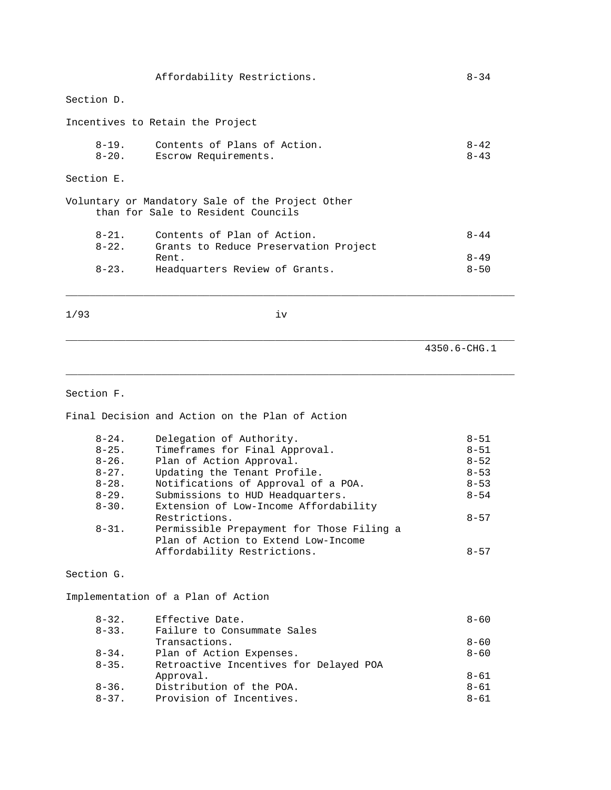|                          | Affordability Restrictions.                                                            | $8 - 34$             |
|--------------------------|----------------------------------------------------------------------------------------|----------------------|
| Section D.               |                                                                                        |                      |
|                          | Incentives to Retain the Project                                                       |                      |
| $8 - 19$ .<br>$8 - 20$ . | Contents of Plans of Action.<br>Escrow Requirements.                                   | $8 - 42$<br>$8 - 43$ |
| Section E.               |                                                                                        |                      |
|                          | Voluntary or Mandatory Sale of the Project Other<br>than for Sale to Resident Councils |                      |
| $8 - 21$ .<br>$8 - 22$ . | Contents of Plan of Action.<br>Grants to Reduce Preservation Project<br>Rent.          | $8 - 44$<br>$8 - 49$ |
| $8 - 23$ .               | Headquarters Review of Grants.                                                         | $8 - 50$             |

1/93 iv

\_\_\_\_\_\_\_\_\_\_\_\_\_\_\_\_\_\_\_\_\_\_\_\_\_\_\_\_\_\_\_\_\_\_\_\_\_\_\_\_\_\_\_\_\_\_\_\_\_\_\_\_\_\_\_\_\_\_\_\_\_\_\_\_\_\_\_\_\_\_\_\_\_\_\_

\_\_\_\_\_\_\_\_\_\_\_\_\_\_\_\_\_\_\_\_\_\_\_\_\_\_\_\_\_\_\_\_\_\_\_\_\_\_\_\_\_\_\_\_\_\_\_\_\_\_\_\_\_\_\_\_\_\_\_\_\_\_\_\_\_\_\_\_\_\_\_\_\_\_\_

\_\_\_\_\_\_\_\_\_\_\_\_\_\_\_\_\_\_\_\_\_\_\_\_\_\_\_\_\_\_\_\_\_\_\_\_\_\_\_\_\_\_\_\_\_\_\_\_\_\_\_\_\_\_\_\_\_\_\_\_\_\_\_\_\_\_\_\_\_\_\_\_\_\_\_

4350.6-CHG.1

#### Section F.

Final Decision and Action on the Plan of Action

| $8 - 24$ . | Delegation of Authority.                  | $8 - 51$ |
|------------|-------------------------------------------|----------|
| $8 - 25$ . | Timeframes for Final Approval.            | $8 - 51$ |
| $8 - 26$ . | Plan of Action Approval.                  | $8 - 52$ |
| $8 - 27$ . | Updating the Tenant Profile.              | $8 - 53$ |
| $8 - 28$ . | Notifications of Approval of a POA.       | $8 - 53$ |
| $8 - 29$ . | Submissions to HUD Headquarters.          | $8 - 54$ |
| $8 - 30$ . | Extension of Low-Income Affordability     |          |
|            | Restrictions.                             | $8 - 57$ |
| $8 - 31$ . | Permissible Prepayment for Those Filing a |          |
|            | Plan of Action to Extend Low-Income       |          |
|            | Affordability Restrictions.               | $8 - 57$ |
|            |                                           |          |
| Section G. |                                           |          |
|            |                                           |          |
|            | Implementation of a Plan of Action        |          |
|            |                                           |          |

| $8 - 32$ . | Effective Date.                        | $8 - 60$ |
|------------|----------------------------------------|----------|
| $8 - 33$ . | Failure to Consummate Sales            |          |
|            | Transactions.                          | $8 - 60$ |
| $8 - 34$ . | Plan of Action Expenses.               | $8 - 60$ |
| $8 - 35$ . | Retroactive Incentives for Delayed POA |          |
|            | Approval.                              | $8 - 61$ |
| $8 - 36$ . | Distribution of the POA.               | $8 - 61$ |
| $8 - 37$ . | Provision of Incentives.               | $8 - 61$ |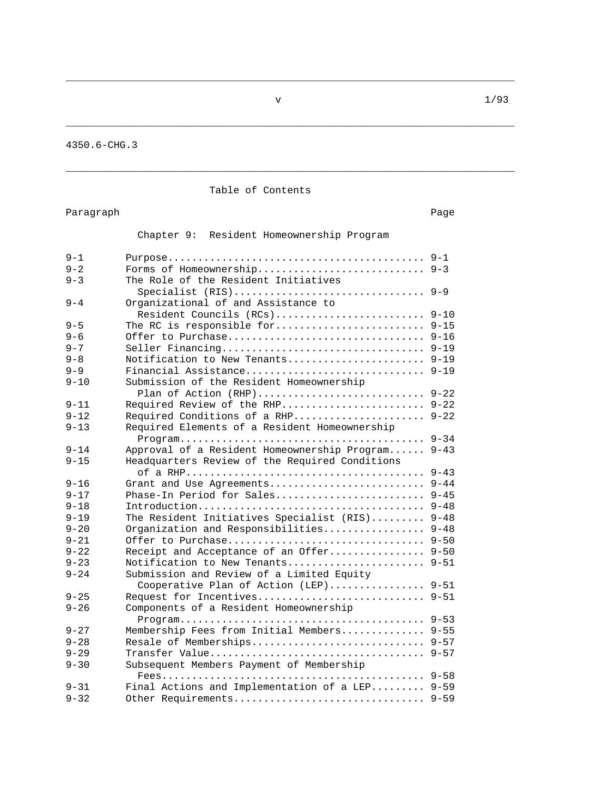\_\_\_\_\_\_\_\_\_\_\_\_\_\_\_\_\_\_\_\_\_\_\_\_\_\_\_\_\_\_\_\_\_\_\_\_\_\_\_\_\_\_\_\_\_\_\_\_\_\_\_\_\_\_\_\_\_\_\_\_\_\_\_\_\_\_\_\_\_\_\_\_\_\_\_

\_\_\_\_\_\_\_\_\_\_\_\_\_\_\_\_\_\_\_\_\_\_\_\_\_\_\_\_\_\_\_\_\_\_\_\_\_\_\_\_\_\_\_\_\_\_\_\_\_\_\_\_\_\_\_\_\_\_\_\_\_\_\_\_\_\_\_\_\_\_\_\_\_\_\_

\_\_\_\_\_\_\_\_\_\_\_\_\_\_\_\_\_\_\_\_\_\_\_\_\_\_\_\_\_\_\_\_\_\_\_\_\_\_\_\_\_\_\_\_\_\_\_\_\_\_\_\_\_\_\_\_\_\_\_\_\_\_\_\_\_\_\_\_\_\_\_\_\_\_\_

4350.6-CHG.3

## Table of Contents

Paragraph Page

Chapter 9: Resident Homeownership Program

| $9 - 1$  |                                                |          |
|----------|------------------------------------------------|----------|
| $9 - 2$  | Forms of Homeownership 9-3                     |          |
| $9 - 3$  | The Role of the Resident Initiatives           |          |
| $9 - 4$  | Organizational of and Assistance to            |          |
|          | Resident Councils (RCs) 9-10                   |          |
| $9 - 5$  |                                                |          |
| $9 - 6$  |                                                |          |
| $9 - 7$  | Seller Financing 9-19                          |          |
| $9 - 8$  | Notification to New Tenants 9-19               |          |
| $9 - 9$  | Financial Assistance 9-19                      |          |
| $9 - 10$ | Submission of the Resident Homeownership       |          |
|          | Plan of Action (RHP)                           | $9 - 22$ |
| $9 - 11$ | Required Review of the RHP                     | $9 - 22$ |
| $9 - 12$ |                                                | $9 - 22$ |
| $9 - 13$ | Required Conditions of a RHP                   |          |
|          | Required Elements of a Resident Homeownership  | $9 - 34$ |
| $9 - 14$ |                                                | $9 - 43$ |
|          | Approval of a Resident Homeownership Program   |          |
| $9 - 15$ | Headquarters Review of the Required Conditions |          |
|          |                                                | $9 - 43$ |
| $9 - 16$ | Grant and Use Agreements                       | $9 - 44$ |
| $9 - 17$ | Phase-In Period for Sales 9-45                 |          |
| $9 - 18$ |                                                |          |
| $9 - 19$ | The Resident Initiatives Specialist (RIS)      | $9 - 48$ |
| $9 - 20$ | Organization and Responsibilities              | $9 - 48$ |
| $9 - 21$ | Offer to Purchase                              | $9 - 50$ |
| $9 - 22$ | Receipt and Acceptance of an Offer 9-50        |          |
| $9 - 23$ | Notification to New Tenants                    | $9 - 51$ |
| $9 - 24$ | Submission and Review of a Limited Equity      |          |
|          | Cooperative Plan of Action (LEP) 9-51          |          |
| $9 - 25$ | Request for Incentives                         | $9 - 51$ |
| $9 - 26$ | Components of a Resident Homeownership         |          |
| $9 - 27$ | Membership Fees from Initial Members 9-55      |          |
| $9 - 28$ | Resale of Memberships 9-57                     |          |
| $9 - 29$ |                                                |          |
| $9 - 30$ | Subsequent Members Payment of Membership       |          |
|          |                                                |          |
| $9 - 31$ | Final Actions and Implementation of a LEP 9-59 |          |
| $9 - 32$ | Other Requirements 9-59                        |          |
|          |                                                |          |

 $\sqrt{1/93}$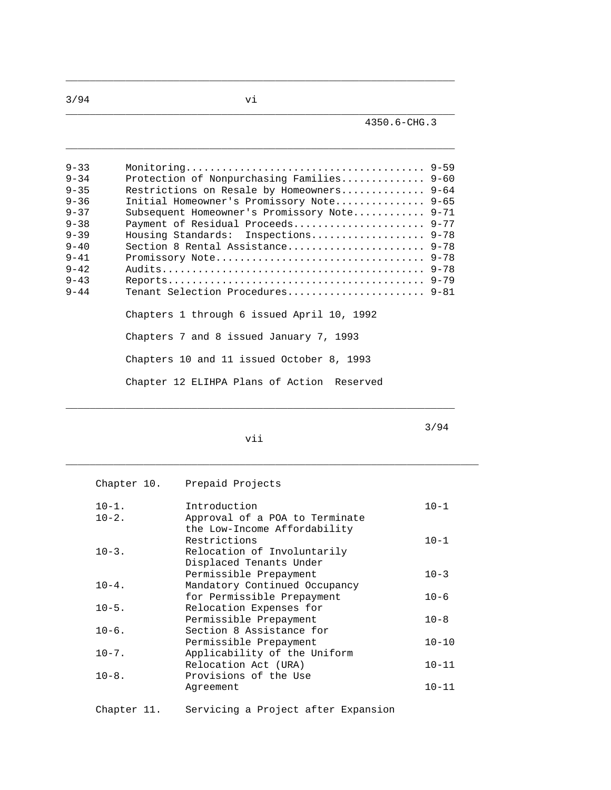\_\_\_\_\_\_\_\_\_\_\_\_\_\_\_\_\_\_\_\_\_\_\_\_\_\_\_\_\_\_\_\_\_\_\_\_\_\_\_\_\_\_\_\_\_\_\_\_\_\_\_\_\_\_\_\_\_\_\_\_\_\_\_\_\_

 $\_$  ,  $\_$  ,  $\_$  ,  $\_$  ,  $\_$  ,  $\_$  ,  $\_$  ,  $\_$  ,  $\_$  ,  $\_$  ,  $\_$  ,  $\_$  ,  $\_$  ,  $\_$  ,  $\_$  ,  $\_$  ,  $\_$  ,  $\_$  ,  $\_$  ,  $\_$  ,  $\_$  ,  $\_$  ,  $\_$  ,  $\_$  ,  $\_$  ,  $\_$  ,  $\_$  ,  $\_$  ,  $\_$  ,  $\_$  ,  $\_$  ,  $\_$  ,  $\_$  ,  $\_$  ,  $\_$  ,  $\_$  ,  $\_$  ,

 $\_$  ,  $\_$  ,  $\_$  ,  $\_$  ,  $\_$  ,  $\_$  ,  $\_$  ,  $\_$  ,  $\_$  ,  $\_$  ,  $\_$  ,  $\_$  ,  $\_$  ,  $\_$  ,  $\_$  ,  $\_$  ,  $\_$  ,  $\_$  ,  $\_$  ,  $\_$  ,  $\_$  ,  $\_$  ,  $\_$  ,  $\_$  ,  $\_$  ,  $\_$  ,  $\_$  ,  $\_$  ,  $\_$  ,  $\_$  ,  $\_$  ,  $\_$  ,  $\_$  ,  $\_$  ,  $\_$  ,  $\_$  ,  $\_$  ,

| $9 - 33$<br>$9 - 34$<br>$9 - 35$<br>$9 - 36$<br>$9 - 37$<br>$9 - 38$<br>$9 - 39$<br>$9 - 40$<br>$9 - 41$<br>$9 - 42$<br>$9 - 43$ | Protection of Nonpurchasing Families 9-60<br>Restrictions on Resale by Homeowners 9-64<br>Initial Homeowner's Promissory Note 9-65<br>Subsequent Homeowner's Promissory Note 9-71<br>Payment of Residual Proceeds 9-77<br>Housing Standards: Inspections 9-78<br>Section 8 Rental Assistance 9-78 |  |
|----------------------------------------------------------------------------------------------------------------------------------|---------------------------------------------------------------------------------------------------------------------------------------------------------------------------------------------------------------------------------------------------------------------------------------------------|--|
| $9 - 44$                                                                                                                         | Tenant Selection Procedures 9-81<br>Chapters 1 through 6 issued April 10, 1992<br>Chapters 7 and 8 issued January 7, 1993<br>Chapters 10 and 11 issued October 8, 1993<br>Chapter 12 ELIHPA Plans of Action Reserved                                                                              |  |

vii

3/94

|            | Chapter 10. Prepaid Projects   |           |
|------------|--------------------------------|-----------|
| $10 - 1$ . | Introduction                   | $10 - 1$  |
| $10-2.$    | Approval of a POA to Terminate |           |
|            | the Low-Income Affordability   |           |
|            | Restrictions                   | $10 - 1$  |
| $10-3$ .   | Relocation of Involuntarily    |           |
|            | Displaced Tenants Under        |           |
|            | Permissible Prepayment         | $10 - 3$  |
| $10 - 4$ . | Mandatory Continued Occupancy  |           |
|            | for Permissible Prepayment     | $10 - 6$  |
| $10 - 5$ . | Relocation Expenses for        |           |
|            | Permissible Prepayment         | $10 - 8$  |
| $10-6$ .   | Section 8 Assistance for       |           |
|            | Permissible Prepayment         | $10 - 10$ |
| $10 - 7$ . | Applicability of the Uniform   |           |
|            | Relocation Act (URA)           | $10 - 11$ |
| $10 - 8$ . | Provisions of the Use          |           |
|            | Agreement                      | $10 - 11$ |
|            |                                |           |

\_\_\_\_\_\_\_\_\_\_\_\_\_\_\_\_\_\_\_\_\_\_\_\_\_\_\_\_\_\_\_\_\_\_\_\_\_\_\_\_\_\_\_\_\_\_\_\_\_\_\_\_\_\_\_\_\_\_\_\_\_\_\_\_\_\_\_\_\_

Chapter 11. Servicing a Project after Expansion

3/94 vi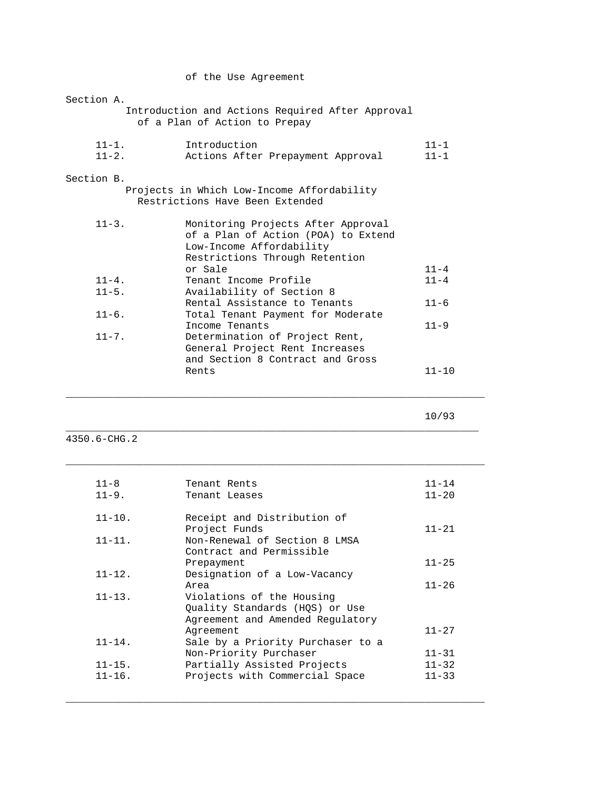|  |  |  | of the Use Agreement |
|--|--|--|----------------------|
|--|--|--|----------------------|

| Section A. |                                                                                   |           |
|------------|-----------------------------------------------------------------------------------|-----------|
|            | Introduction and Actions Required After Approval<br>of a Plan of Action to Prepay |           |
|            |                                                                                   |           |
| $11 - 1$ . | Introduction                                                                      | $11 - 1$  |
| $11 - 2$ . | Actions After Prepayment Approval                                                 | $11 - 1$  |
| Section B. |                                                                                   |           |
|            | Projects in Which Low-Income Affordability                                        |           |
|            | Restrictions Have Been Extended                                                   |           |
| $11 - 3$ . | Monitoring Projects After Approval                                                |           |
|            | of a Plan of Action (POA) to Extend                                               |           |
|            | Low-Income Affordability                                                          |           |
|            | Restrictions Through Retention                                                    |           |
|            | or Sale                                                                           | $11 - 4$  |
| $11 - 4$ . | Tenant Income Profile                                                             | $11 - 4$  |
| $11 - 5$ . | Availability of Section 8                                                         |           |
|            | Rental Assistance to Tenants                                                      | $11 - 6$  |
| $11 - 6$ . | Total Tenant Payment for Moderate                                                 |           |
|            | Income Tenants                                                                    | $11 - 9$  |
| $11 - 7$ . | Determination of Project Rent,                                                    |           |
|            | General Project Rent Increases                                                    |           |
|            | and Section 8 Contract and Gross                                                  |           |
|            | Rents                                                                             | $11 - 10$ |
|            |                                                                                   |           |

10/93

4350.6-CHG.2

| $11 - 8$<br>$11 - 9$ . | Tenant Rents<br>Tenant Leases                             | $11 - 14$<br>$11 - 20$ |
|------------------------|-----------------------------------------------------------|------------------------|
| $11 - 10$ .            | Receipt and Distribution of<br>Project Funds              | $11 - 21$              |
| $11 - 11.$             | Non-Renewal of Section 8 LMSA<br>Contract and Permissible |                        |
|                        | Prepayment                                                | $11 - 25$              |
| $11 - 12$ .            | Designation of a Low-Vacancy                              |                        |
|                        | Area                                                      | $11 - 26$              |
| $11 - 13$ .            | Violations of the Housing                                 |                        |
|                        | Ouality Standards (HOS) or Use                            |                        |
|                        | Agreement and Amended Regulatory                          |                        |
|                        | Agreement                                                 | $11 - 27$              |
| $11 - 14$ .            | Sale by a Priority Purchaser to a                         |                        |
|                        | Non-Priority Purchaser                                    | $11 - 31$              |
| $11 - 15$ .            | Partially Assisted Projects                               | $11 - 32$              |
| $11 - 16$ .            | Projects with Commercial Space                            | $11 - 33$              |
|                        |                                                           |                        |

\_\_\_\_\_\_\_\_\_\_\_\_\_\_\_\_\_\_\_\_\_\_\_\_\_\_\_\_\_\_\_\_\_\_\_\_\_\_\_\_\_\_\_\_\_\_\_\_\_\_\_\_\_\_\_\_\_\_\_\_\_\_\_\_\_\_\_\_\_\_

\_\_\_\_\_\_\_\_\_\_\_\_\_\_\_\_\_\_\_\_\_\_\_\_\_\_\_\_\_\_\_\_\_\_\_\_\_\_\_\_\_\_\_\_\_\_\_\_\_\_\_\_\_\_\_\_\_\_\_\_\_\_\_\_\_\_\_\_\_\_

\_\_\_\_\_\_\_\_\_\_\_\_\_\_\_\_\_\_\_\_\_\_\_\_\_\_\_\_\_\_\_\_\_\_\_\_\_\_\_\_\_\_\_\_\_\_\_\_\_\_\_\_\_\_\_\_\_\_\_\_\_\_\_\_\_\_\_\_\_

\_\_\_\_\_\_\_\_\_\_\_\_\_\_\_\_\_\_\_\_\_\_\_\_\_\_\_\_\_\_\_\_\_\_\_\_\_\_\_\_\_\_\_\_\_\_\_\_\_\_\_\_\_\_\_\_\_\_\_\_\_\_\_\_\_\_\_\_\_\_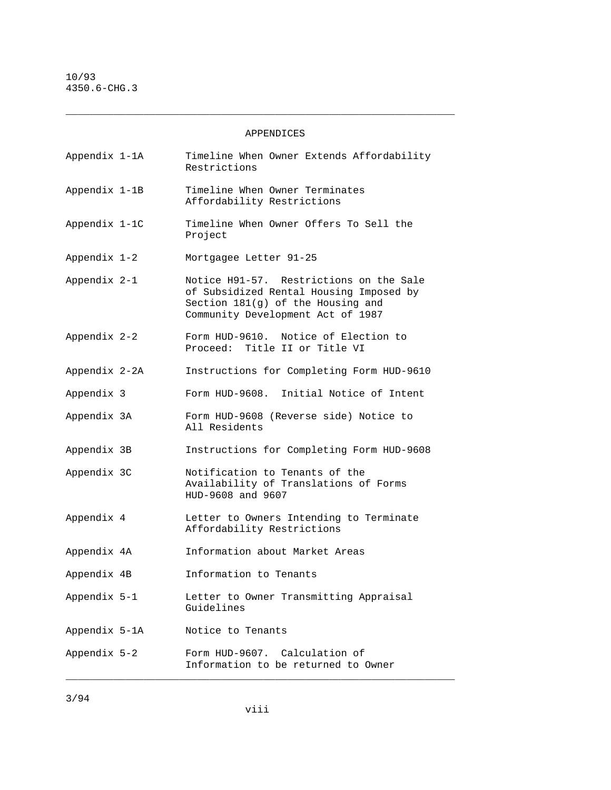APPENDICES

 $\_$  ,  $\_$  ,  $\_$  ,  $\_$  ,  $\_$  ,  $\_$  ,  $\_$  ,  $\_$  ,  $\_$  ,  $\_$  ,  $\_$  ,  $\_$  ,  $\_$  ,  $\_$  ,  $\_$  ,  $\_$  ,  $\_$  ,  $\_$  ,  $\_$  ,  $\_$  ,  $\_$  ,  $\_$  ,  $\_$  ,  $\_$  ,  $\_$  ,  $\_$  ,  $\_$  ,  $\_$  ,  $\_$  ,  $\_$  ,  $\_$  ,  $\_$  ,  $\_$  ,  $\_$  ,  $\_$  ,  $\_$  ,  $\_$  ,

| Appendix 1-1A | Timeline When Owner Extends Affordability<br>Restrictions                                                                                                    |
|---------------|--------------------------------------------------------------------------------------------------------------------------------------------------------------|
| Appendix 1-1B | Timeline When Owner Terminates<br>Affordability Restrictions                                                                                                 |
| Appendix 1-1C | Timeline When Owner Offers To Sell the<br>Project                                                                                                            |
| Appendix 1-2  | Mortgagee Letter 91-25                                                                                                                                       |
| Appendix 2-1  | Notice H91-57. Restrictions on the Sale<br>of Subsidized Rental Housing Imposed by<br>Section 181(g) of the Housing and<br>Community Development Act of 1987 |
| Appendix 2-2  | Form HUD-9610. Notice of Election to<br>Proceed: Title II or Title VI                                                                                        |
| Appendix 2-2A | Instructions for Completing Form HUD-9610                                                                                                                    |
| Appendix 3    | Form HUD-9608. Initial Notice of Intent                                                                                                                      |
| Appendix 3A   | Form HUD-9608 (Reverse side) Notice to<br>All Residents                                                                                                      |
| Appendix 3B   | Instructions for Completing Form HUD-9608                                                                                                                    |
| Appendix 3C   | Notification to Tenants of the<br>Availability of Translations of Forms<br>HUD-9608 and 9607                                                                 |
| Appendix 4    | Letter to Owners Intending to Terminate<br>Affordability Restrictions                                                                                        |
| Appendix 4A   | Information about Market Areas                                                                                                                               |
| Appendix 4B   | Information to Tenants                                                                                                                                       |
| Appendix 5-1  | Letter to Owner Transmitting Appraisal<br>Guidelines                                                                                                         |
| Appendix 5-1A | Notice to Tenants                                                                                                                                            |
| Appendix 5-2  | Form HUD-9607. Calculation of<br>Information to be returned to Owner                                                                                         |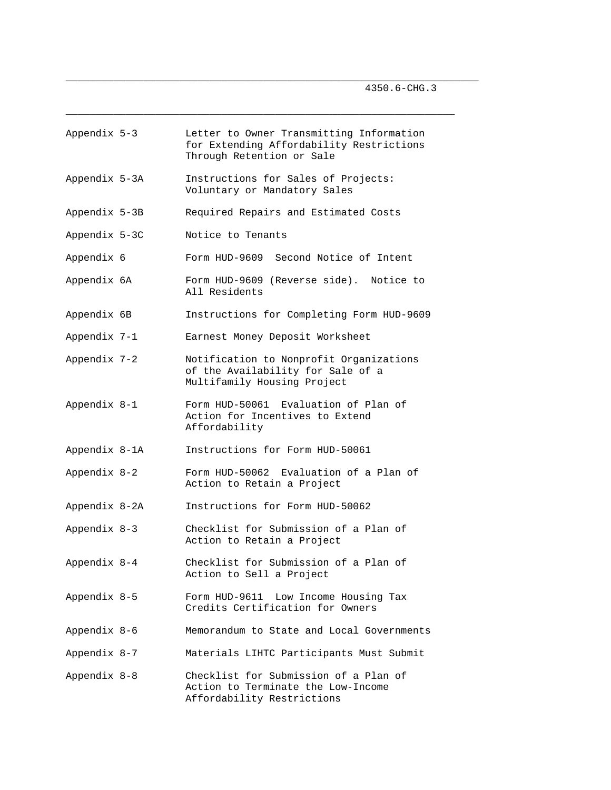| Appendix 5-3  | Letter to Owner Transmitting Information<br>for Extending Affordability Restrictions<br>Through Retention or Sale |
|---------------|-------------------------------------------------------------------------------------------------------------------|
| Appendix 5-3A | Instructions for Sales of Projects:<br>Voluntary or Mandatory Sales                                               |
| Appendix 5-3B | Required Repairs and Estimated Costs                                                                              |
| Appendix 5-3C | Notice to Tenants                                                                                                 |
| Appendix 6    | Form HUD-9609 Second Notice of Intent                                                                             |
| Appendix 6A   | Form HUD-9609 (Reverse side). Notice to<br>All Residents                                                          |
| Appendix 6B   | Instructions for Completing Form HUD-9609                                                                         |
| Appendix 7-1  | Earnest Money Deposit Worksheet                                                                                   |
| Appendix 7-2  | Notification to Nonprofit Organizations<br>of the Availability for Sale of a<br>Multifamily Housing Project       |
| Appendix 8-1  | Form HUD-50061 Evaluation of Plan of<br>Action for Incentives to Extend<br>Affordability                          |
| Appendix 8-1A | Instructions for Form HUD-50061                                                                                   |
| Appendix 8-2  | Form HUD-50062 Evaluation of a Plan of<br>Action to Retain a Project                                              |
| Appendix 8-2A | Instructions for Form HUD-50062                                                                                   |
| Appendix 8-3  | Checklist for Submission of a Plan of<br>Action to Retain a Project                                               |
| Appendix 8-4  | Checklist for Submission of a Plan of<br>Action to Sell a Project                                                 |
| Appendix 8-5  | Form HUD-9611 Low Income Housing Tax<br>Credits Certification for Owners                                          |
| Appendix 8-6  | Memorandum to State and Local Governments                                                                         |
| Appendix 8-7  | Materials LIHTC Participants Must Submit                                                                          |
| Appendix 8-8  | Checklist for Submission of a Plan of<br>Action to Terminate the Low-Income<br>Affordability Restrictions         |

\_\_\_\_\_\_\_\_\_\_\_\_\_\_\_\_\_\_\_\_\_\_\_\_\_\_\_\_\_\_\_\_\_\_\_\_\_\_\_\_\_\_\_\_\_\_\_\_\_\_\_\_\_\_\_\_\_\_\_\_\_\_\_\_\_\_\_\_\_

 $\_$  ,  $\_$  ,  $\_$  ,  $\_$  ,  $\_$  ,  $\_$  ,  $\_$  ,  $\_$  ,  $\_$  ,  $\_$  ,  $\_$  ,  $\_$  ,  $\_$  ,  $\_$  ,  $\_$  ,  $\_$  ,  $\_$  ,  $\_$  ,  $\_$  ,  $\_$  ,  $\_$  ,  $\_$  ,  $\_$  ,  $\_$  ,  $\_$  ,  $\_$  ,  $\_$  ,  $\_$  ,  $\_$  ,  $\_$  ,  $\_$  ,  $\_$  ,  $\_$  ,  $\_$  ,  $\_$  ,  $\_$  ,  $\_$  ,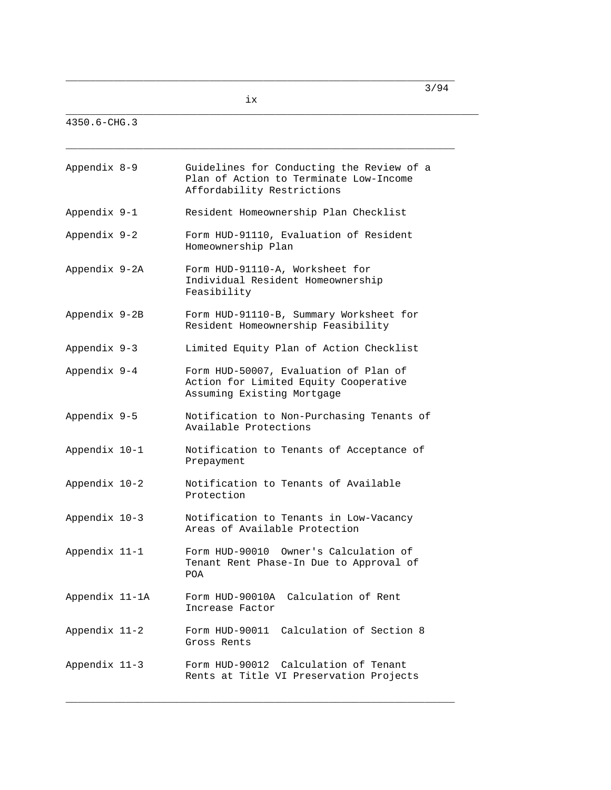ix

\_\_\_\_\_\_\_\_\_\_\_\_\_\_\_\_\_\_\_\_\_\_\_\_\_\_\_\_\_\_\_\_\_\_\_\_\_\_\_\_\_\_\_\_\_\_\_\_\_\_\_\_\_\_\_\_\_\_\_\_\_\_\_\_\_

\_\_\_\_\_\_\_\_\_\_\_\_\_\_\_\_\_\_\_\_\_\_\_\_\_\_\_\_\_\_\_\_\_\_\_\_\_\_\_\_\_\_\_\_\_\_\_\_\_\_\_\_\_\_\_\_\_\_\_\_\_\_\_\_\_\_\_\_\_

4350.6-CHG.3

| Appendix 8-9   | Guidelines for Conducting the Review of a<br>Plan of Action to Terminate Low-Income<br>Affordability Restrictions |
|----------------|-------------------------------------------------------------------------------------------------------------------|
| Appendix 9-1   | Resident Homeownership Plan Checklist                                                                             |
| Appendix 9-2   | Form HUD-91110, Evaluation of Resident<br>Homeownership Plan                                                      |
| Appendix 9-2A  | Form HUD-91110-A, Worksheet for<br>Individual Resident Homeownership<br>Feasibility                               |
| Appendix 9-2B  | Form HUD-91110-B, Summary Worksheet for<br>Resident Homeownership Feasibility                                     |
| Appendix 9-3   | Limited Equity Plan of Action Checklist                                                                           |
| Appendix 9-4   | Form HUD-50007, Evaluation of Plan of<br>Action for Limited Equity Cooperative<br>Assuming Existing Mortgage      |
| Appendix 9-5   | Notification to Non-Purchasing Tenants of<br>Available Protections                                                |
| Appendix 10-1  | Notification to Tenants of Acceptance of<br>Prepayment                                                            |
| Appendix 10-2  | Notification to Tenants of Available<br>Protection                                                                |
| Appendix 10-3  | Notification to Tenants in Low-Vacancy<br>Areas of Available Protection                                           |
| Appendix 11-1  | Form HUD-90010 Owner's Calculation of<br>Tenant Rent Phase-In Due to Approval of<br>POA                           |
| Appendix 11-1A | Form HUD-90010A<br>Calculation of Rent<br>Increase Factor                                                         |
| Appendix 11-2  | Calculation of Section 8<br>Form HUD-90011<br>Gross Rents                                                         |
| Appendix 11-3  | Calculation of Tenant<br>Form HUD-90012<br>Rents at Title VI Preservation Projects                                |

 $\_$  ,  $\_$  ,  $\_$  ,  $\_$  ,  $\_$  ,  $\_$  ,  $\_$  ,  $\_$  ,  $\_$  ,  $\_$  ,  $\_$  ,  $\_$  ,  $\_$  ,  $\_$  ,  $\_$  ,  $\_$  ,  $\_$  ,  $\_$  ,  $\_$  ,  $\_$  ,  $\_$  ,  $\_$  ,  $\_$  ,  $\_$  ,  $\_$  ,  $\_$  ,  $\_$  ,  $\_$  ,  $\_$  ,  $\_$  ,  $\_$  ,  $\_$  ,  $\_$  ,  $\_$  ,  $\_$  ,  $\_$  ,  $\_$  ,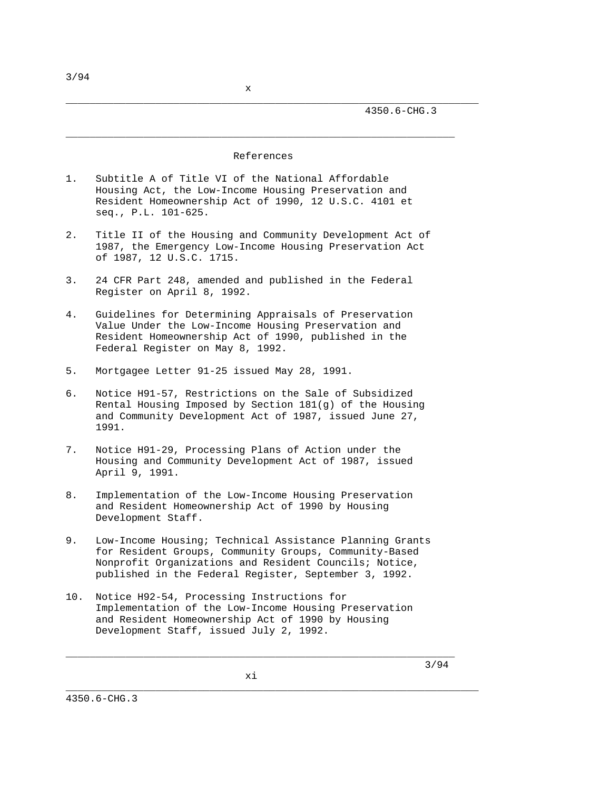#### References

\_\_\_\_\_\_\_\_\_\_\_\_\_\_\_\_\_\_\_\_\_\_\_\_\_\_\_\_\_\_\_\_\_\_\_\_\_\_\_\_\_\_\_\_\_\_\_\_\_\_\_\_\_\_\_\_\_\_\_\_\_\_\_\_\_

- 1. Subtitle A of Title VI of the National Affordable Housing Act, the Low-Income Housing Preservation and Resident Homeownership Act of 1990, 12 U.S.C. 4101 et seq., P.L. 101-625.
- 2. Title II of the Housing and Community Development Act of 1987, the Emergency Low-Income Housing Preservation Act of 1987, 12 U.S.C. 1715.
- 3. 24 CFR Part 248, amended and published in the Federal Register on April 8, 1992.
- 4. Guidelines for Determining Appraisals of Preservation Value Under the Low-Income Housing Preservation and Resident Homeownership Act of 1990, published in the Federal Register on May 8, 1992.
- 5. Mortgagee Letter 91-25 issued May 28, 1991.
- 6. Notice H91-57, Restrictions on the Sale of Subsidized Rental Housing Imposed by Section 181(g) of the Housing and Community Development Act of 1987, issued June 27, 1991.
- 7. Notice H91-29, Processing Plans of Action under the Housing and Community Development Act of 1987, issued April 9, 1991.
- 8. Implementation of the Low-Income Housing Preservation and Resident Homeownership Act of 1990 by Housing Development Staff.
- 9. Low-Income Housing; Technical Assistance Planning Grants for Resident Groups, Community Groups, Community-Based Nonprofit Organizations and Resident Councils; Notice, published in the Federal Register, September 3, 1992.
- 10. Notice H92-54, Processing Instructions for Implementation of the Low-Income Housing Preservation and Resident Homeownership Act of 1990 by Housing Development Staff, issued July 2, 1992.

 $\_$  ,  $\_$  ,  $\_$  ,  $\_$  ,  $\_$  ,  $\_$  ,  $\_$  ,  $\_$  ,  $\_$  ,  $\_$  ,  $\_$  ,  $\_$  ,  $\_$  ,  $\_$  ,  $\_$  ,  $\_$  ,  $\_$  ,  $\_$  ,  $\_$  ,  $\_$  ,  $\_$  ,  $\_$  ,  $\_$  ,  $\_$  ,  $\_$  ,  $\_$  ,  $\_$  ,  $\_$  ,  $\_$  ,  $\_$  ,  $\_$  ,  $\_$  ,  $\_$  ,  $\_$  ,  $\_$  ,  $\_$  ,  $\_$  ,

3/94